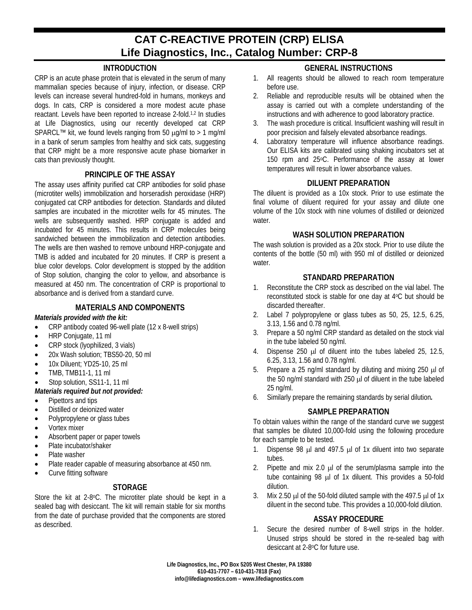# **CAT C-REACTIVE PROTEIN (CRP) ELISA Life Diagnostics, Inc., Catalog Number: CRP-8**

# **INTRODUCTION**

CRP is an acute phase protein that is elevated in the serum of many mammalian species because of injury, infection, or disease. CRP levels can increase several hundred-fold in humans, monkeys and dogs. In cats, CRP is considered a more modest acute phase reactant. Levels have been reported to increase 2-fold. 1,2 In studies at Life Diagnostics, using our recently developed cat CRP SPARCL™ kit, we found levels ranging from 50  $\mu$ g/ml to > 1 mg/ml in a bank of serum samples from healthy and sick cats, suggesting that CRP might be a more responsive acute phase biomarker in cats than previously thought.

#### **PRINCIPLE OF THE ASSAY**

The assay uses affinity purified cat CRP antibodies for solid phase (microtiter wells) immobilization and horseradish peroxidase (HRP) conjugated cat CRP antibodies for detection. Standards and diluted samples are incubated in the microtiter wells for 45 minutes. The wells are subsequently washed. HRP conjugate is added and incubated for 45 minutes. This results in CRP molecules being sandwiched between the immobilization and detection antibodies. The wells are then washed to remove unbound HRP-conjugate and TMB is added and incubated for 20 minutes. If CRP is present a blue color develops. Color development is stopped by the addition of Stop solution, changing the color to yellow, and absorbance is measured at 450 nm. The concentration of CRP is proportional to absorbance and is derived from a standard curve.

### **MATERIALS AND COMPONENTS**

#### *Materials provided with the kit:*

- CRP antibody coated 96-well plate (12 x 8-well strips)
- HRP Conjugate, 11 ml
- CRP stock (lyophilized, 3 vials)
- 20x Wash solution; TBS50-20, 50 ml
- 10x Diluent; YD25-10, 25 ml
- TMB, TMB11-1, 11 ml

#### Stop solution, SS11-1, 11 ml

- *Materials required but not provided:*
- Pipettors and tips
- Distilled or deionized water
- Polypropylene or glass tubes
- Vortex mixer
- Absorbent paper or paper towels
- Plate incubator/shaker
- Plate washer
- Plate reader capable of measuring absorbance at 450 nm.
- Curve fitting software

# **STORAGE**

Store the kit at 2-8°C. The microtiter plate should be kept in a sealed bag with desiccant. The kit will remain stable for six months from the date of purchase provided that the components are stored as described.

# **GENERAL INSTRUCTIONS**

- 1. All reagents should be allowed to reach room temperature before use.
- 2. Reliable and reproducible results will be obtained when the assay is carried out with a complete understanding of the instructions and with adherence to good laboratory practice.
- 3. The wash procedure is critical. Insufficient washing will result in poor precision and falsely elevated absorbance readings.
- 4. Laboratory temperature will influence absorbance readings. Our ELISA kits are calibrated using shaking incubators set at 150 rpm and 25°C. Performance of the assay at lower temperatures will result in lower absorbance values.

#### **DILUENT PREPARATION**

The diluent is provided as a 10x stock. Prior to use estimate the final volume of diluent required for your assay and dilute one volume of the 10x stock with nine volumes of distilled or deionized water.

#### **WASH SOLUTION PREPARATION**

The wash solution is provided as a 20x stock. Prior to use dilute the contents of the bottle (50 ml) with 950 ml of distilled or deionized water.

#### **STANDARD PREPARATION**

- 1. Reconstitute the CRP stock as described on the vial label. The reconstituted stock is stable for one day at 4°C but should be discarded thereafter.
- 2. Label 7 polypropylene or glass tubes as 50, 25, 12.5, 6.25, 3.13, 1.56 and 0.78 ng/ml.
- 3. Prepare a 50 ng/ml CRP standard as detailed on the stock vial in the tube labeled 50 ng/ml.
- 4. Dispense 250 µl of diluent into the tubes labeled 25, 12.5, 6.25, 3.13, 1.56 and 0.78 ng/ml.
- 5. Prepare a 25 ng/ml standard by diluting and mixing 250 µl of the 50 ng/ml standard with 250 µl of diluent in the tube labeled 25 ng/ml.
- 6. Similarly prepare the remaining standards by serial dilution*.*

#### **SAMPLE PREPARATION**

To obtain values within the range of the standard curve we suggest that samples be diluted 10,000-fold using the following procedure for each sample to be tested.

- 1. Dispense 98  $\mu$ l and 497.5  $\mu$ l of 1x diluent into two separate tubes.
- 2. Pipette and mix 2.0 µ of the serum/plasma sample into the tube containing 98 µl of 1x diluent. This provides a 50-fold dilution.
- 3. Mix 2.50  $\mu$  of the 50-fold diluted sample with the 497.5  $\mu$  of 1x diluent in the second tube. This provides a 10,000-fold dilution.

#### **ASSAY PROCEDURE**

1. Secure the desired number of 8-well strips in the holder. Unused strips should be stored in the re-sealed bag with desiccant at 2-8oC for future use.

**Life Diagnostics, Inc., PO Box 5205 West Chester, PA 19380 610-431-7707 – 610-431-7818 (Fax) info@lifediagnostics.com – www.lifediagnostics.com**